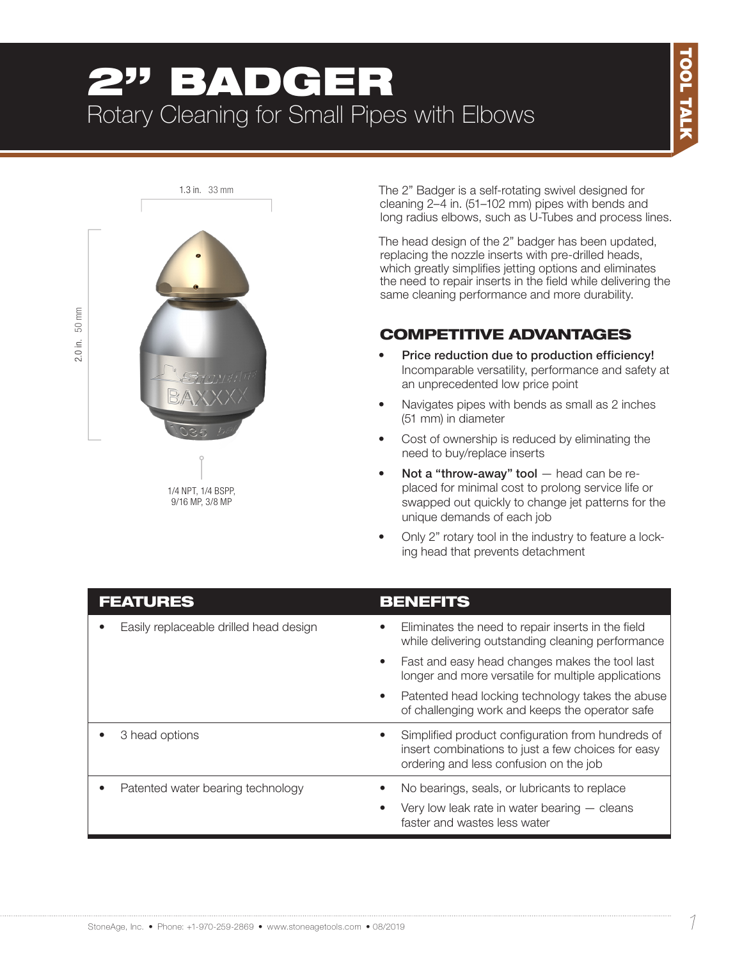# 2" BADGER Rotary Cleaning for Small Pipes with Elbows



1/4 NPT, 1/4 BSPP, 9/16 MP, 3/8 MP

The 2" Badger is a self-rotating swivel designed for cleaning 2–4 in. (51–102 mm) pipes with bends and long radius elbows, such as U-Tubes and process lines.

The head design of the 2" badger has been updated, replacing the nozzle inserts with pre-drilled heads, which greatly simplifies jetting options and eliminates the need to repair inserts in the field while delivering the same cleaning performance and more durability.

### COMPETITIVE ADVANTAGES

- Price reduction due to production efficiency! Incomparable versatility, performance and safety at an unprecedented low price point
- Navigates pipes with bends as small as 2 inches (51 mm) in diameter
- Cost of ownership is reduced by eliminating the need to buy/replace inserts
- Not a "throw-away" tool  $-$  head can be replaced for minimal cost to prolong service life or swapped out quickly to change jet patterns for the unique demands of each job
- Only 2" rotary tool in the industry to feature a locking head that prevents detachment

| <b>FEATURES</b>                        | <b>BENEFITS</b>                                                                                                                                                |
|----------------------------------------|----------------------------------------------------------------------------------------------------------------------------------------------------------------|
| Easily replaceable drilled head design | Eliminates the need to repair inserts in the field<br>$\bullet$<br>while delivering outstanding cleaning performance                                           |
|                                        | Fast and easy head changes makes the tool last<br>$\bullet$<br>longer and more versatile for multiple applications                                             |
|                                        | Patented head locking technology takes the abuse<br>$\bullet$<br>of challenging work and keeps the operator safe                                               |
| 3 head options                         | Simplified product configuration from hundreds of<br>$\bullet$<br>insert combinations to just a few choices for easy<br>ordering and less confusion on the job |
| Patented water bearing technology      | No bearings, seals, or lubricants to replace                                                                                                                   |
|                                        | Very low leak rate in water bearing $-$ cleans<br>faster and wastes less water                                                                                 |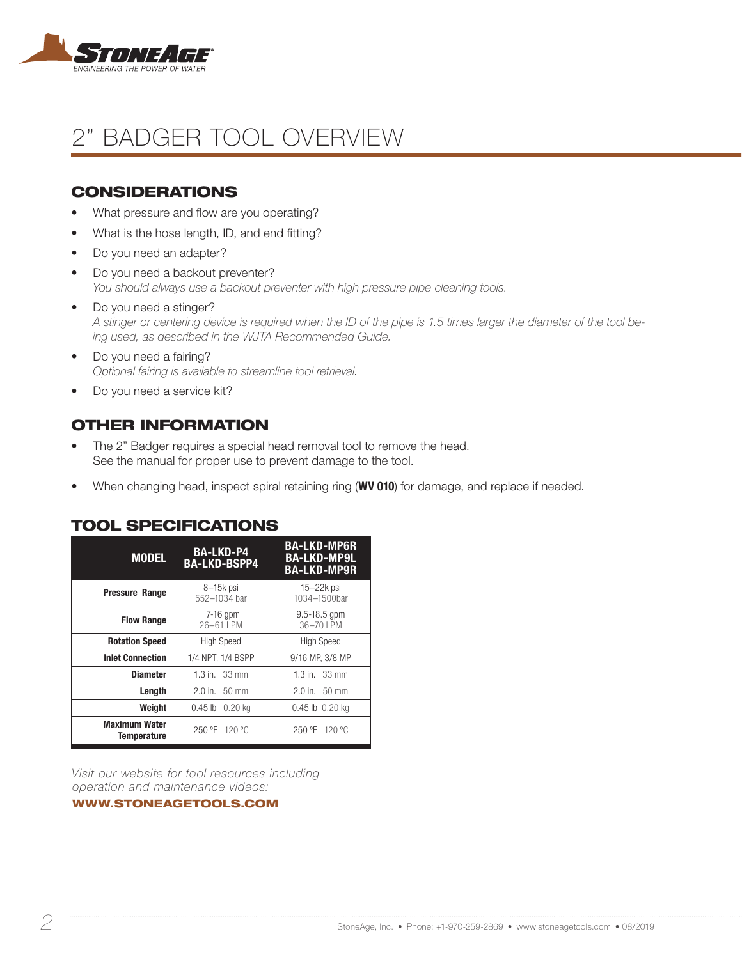

## 2" BADGER TOOL OVERVIEW

#### **CONSIDERATIONS**

- What pressure and flow are you operating?
- What is the hose length, ID, and end fitting?
- Do you need an adapter?
- Do you need a backout preventer? *You should always use a backout preventer with high pressure pipe cleaning tools.*
- Do you need a stinger? *A stinger or centering device is required when the ID of the pipe is 1.5 times larger the diameter of the tool being used, as described in the WJTA Recommended Guide.*
- Do you need a fairing? *Optional fairing is available to streamline tool retrieval.*
- Do you need a service kit?

#### OTHER INFORMATION

- The 2" Badger requires a special head removal tool to remove the head. See the manual for proper use to prevent damage to the tool.
- When changing head, inspect spiral retaining ring (WV 010) for damage, and replace if needed.

| <b>MODEL</b>                               | <b>BA-LKD-P4</b><br><b>BA-LKD-BSPP4</b> | <b>BA-LKD-MP6R</b><br><b>BA-LKD-MP9L</b><br><b>BA-LKD-MP9R</b> |
|--------------------------------------------|-----------------------------------------|----------------------------------------------------------------|
| <b>Pressure Range</b>                      | 8-15k psi<br>552-1034 bar               | $15 - 22k$ psi<br>1034-1500bar                                 |
| <b>Flow Range</b>                          | $7-16$ gpm<br>26-61 LPM                 | $9.5 - 18.5$ gpm<br>36-70 LPM                                  |
| <b>Rotation Speed</b>                      | <b>High Speed</b>                       | <b>High Speed</b>                                              |
| <b>Inlet Connection</b>                    | 1/4 NPT, 1/4 BSPP                       | 9/16 MP, 3/8 MP                                                |
| <b>Diameter</b>                            | 1.3 in. $33 \text{ mm}$                 | 1.3 in. $33 \text{ mm}$                                        |
| Length                                     | $2.0$ in. $50$ mm                       | $2.0$ in. $50$ mm                                              |
| Weight                                     | 0.45 lb 0.20 kg                         | 0.45 lb 0.20 kg                                                |
| <b>Maximum Water</b><br><b>Temperature</b> | 250 °F 120 °C                           | 250 °F 120 °C                                                  |

#### TOOL SPECIFICATIONS

*Visit our website for tool resources including operation and maintenance videos:* 

#### WWW.STONEAGETOOLS.COM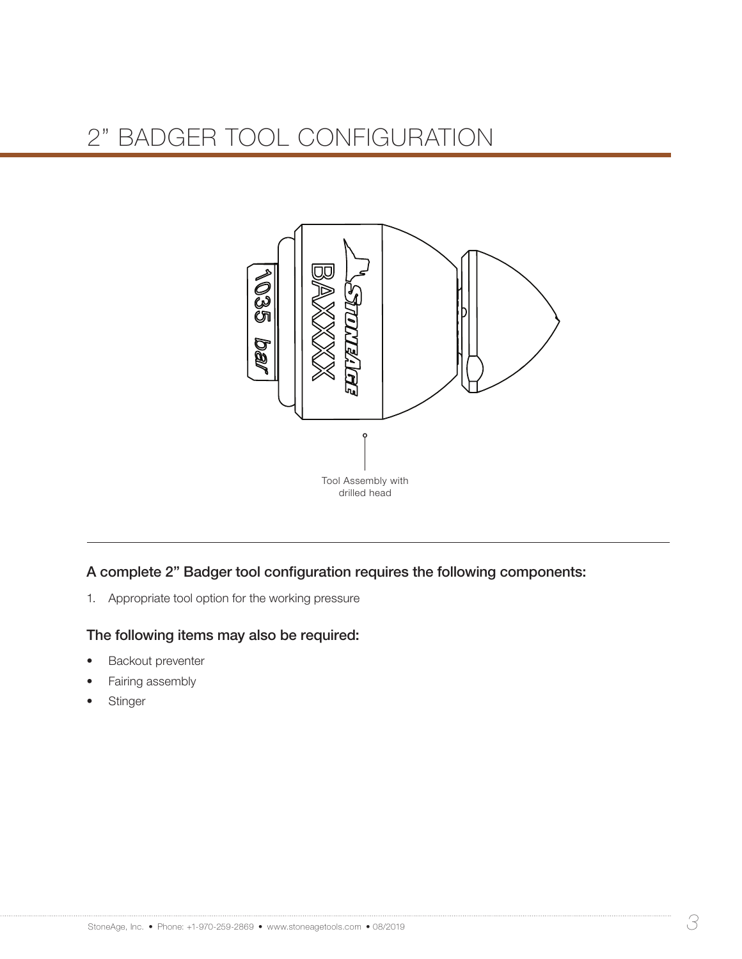## 2" BADGER TOOL CONFIGURATION



A complete 2" Badger tool configuration requires the following components:

1. Appropriate tool option for the working pressure

#### The following items may also be required:

- **Backout preventer**
- Fairing assembly
- **Stinger**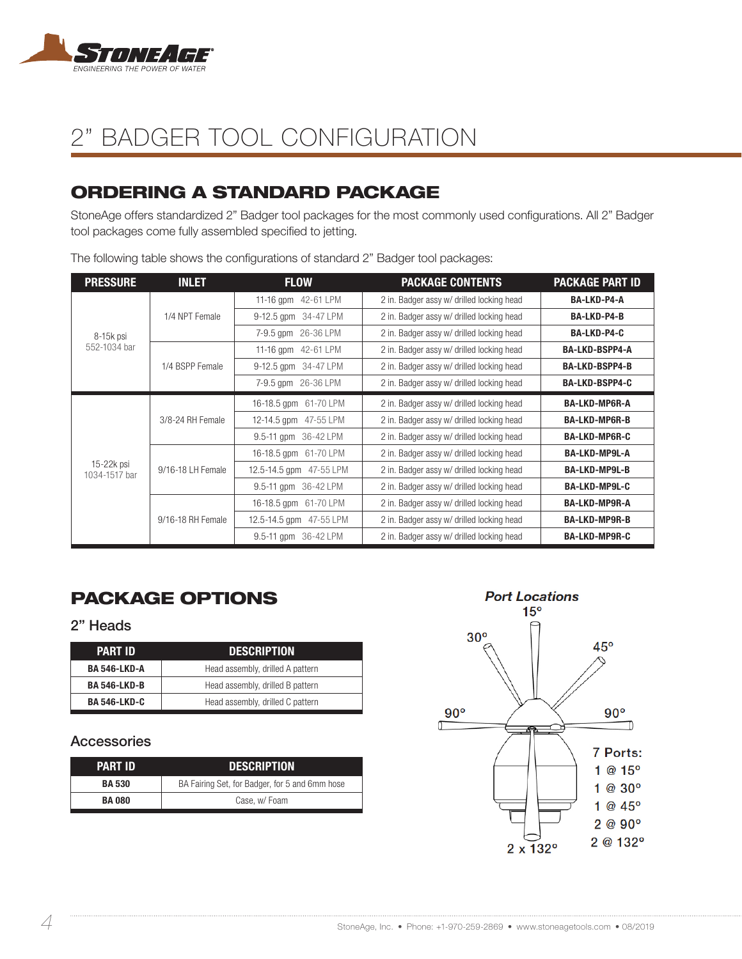

## 2" BADGER TOOL CONFIGURATION

## ORDERING A STANDARD PACKAGE

StoneAge offers standardized 2" Badger tool packages for the most commonly used configurations. All 2" Badger tool packages come fully assembled specified to jetting.

| <b>PRESSURE</b>             | <b>INLET</b>      | <b>FLOW</b>             | <b>PACKAGE CONTENTS</b>                   | <b>PACKAGE PART ID</b> |
|-----------------------------|-------------------|-------------------------|-------------------------------------------|------------------------|
| 8-15k psi<br>552-1034 bar   |                   | 11-16 gpm 42-61 LPM     | 2 in. Badger assy w/ drilled locking head | BA-LKD-P4-A            |
|                             | 1/4 NPT Female    | 9-12.5 gpm 34-47 LPM    | 2 in. Badger assy w/ drilled locking head | <b>BA-LKD-P4-B</b>     |
|                             |                   | 7-9.5 gpm 26-36 LPM     | 2 in. Badger assy w/ drilled locking head | <b>BA-LKD-P4-C</b>     |
|                             |                   | 11-16 gpm 42-61 LPM     | 2 in. Badger assy w/ drilled locking head | <b>BA-LKD-BSPP4-A</b>  |
|                             | 1/4 BSPP Female   | 9-12.5 qpm 34-47 LPM    | 2 in. Badger assy w/ drilled locking head | <b>BA-LKD-BSPP4-B</b>  |
|                             |                   | 7-9.5 gpm 26-36 LPM     | 2 in. Badger assy w/ drilled locking head | <b>BA-LKD-BSPP4-C</b>  |
| 15-22k psi<br>1034-1517 bar | 3/8-24 RH Female  | 16-18.5 gpm 61-70 LPM   | 2 in. Badger assy w/ drilled locking head | <b>BA-LKD-MP6R-A</b>   |
|                             |                   | 12-14.5 gpm 47-55 LPM   | 2 in. Badger assy w/ drilled locking head | <b>BA-LKD-MP6R-B</b>   |
|                             |                   | 9.5-11 gpm 36-42 LPM    | 2 in. Badger assy w/ drilled locking head | <b>BA-LKD-MP6R-C</b>   |
|                             |                   | 16-18.5 gpm 61-70 LPM   | 2 in. Badger assy w/ drilled locking head | <b>BA-LKD-MP9L-A</b>   |
|                             | 9/16-18 LH Female | 12.5-14.5 gpm 47-55 LPM | 2 in. Badger assy w/ drilled locking head | <b>BA-LKD-MP9L-B</b>   |
|                             |                   | 9.5-11 gpm 36-42 LPM    | 2 in. Badger assy w/ drilled locking head | <b>BA-LKD-MP9L-C</b>   |
|                             | 9/16-18 RH Female | 16-18.5 gpm 61-70 LPM   | 2 in. Badger assy w/ drilled locking head | <b>BA-LKD-MP9R-A</b>   |
|                             |                   | 12.5-14.5 qpm 47-55 LPM | 2 in. Badger assy w/ drilled locking head | <b>BA-LKD-MP9R-B</b>   |
|                             |                   | 9.5-11 gpm 36-42 LPM    | 2 in. Badger assy w/ drilled locking head | <b>BA-LKD-MP9R-C</b>   |

The following table shows the configurations of standard 2" Badger tool packages:

## PACKAGE OPTIONS

#### 2" Heads

| <b>PART ID</b>      | <b>DESCRIPTION</b>               |  |  |
|---------------------|----------------------------------|--|--|
| <b>BA 546-LKD-A</b> | Head assembly, drilled A pattern |  |  |
| <b>BA 546-LKD-B</b> | Head assembly, drilled B pattern |  |  |
| <b>BA 546-LKD-C</b> | Head assembly, drilled C pattern |  |  |

#### Accessories

| <b>PART ID</b> | <b>DESCRIPTION</b>                             |  |  |
|----------------|------------------------------------------------|--|--|
| <b>BA 530</b>  | BA Fairing Set, for Badger, for 5 and 6mm hose |  |  |
| <b>BA080</b>   | Case, w/Foam                                   |  |  |